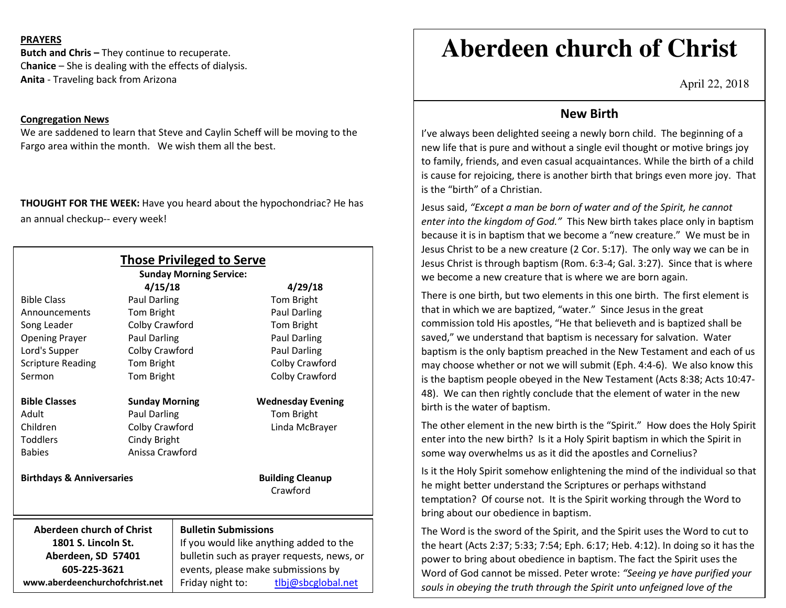## **PRAYERS**

**Butch and Chris –** They continue to recuperate. C**hanice** – She is dealing with the effects of dialysis. **Anita** - Traveling back from Arizona

## **Congregation News**

 We are saddened to learn that Steve and Caylin Scheff will be moving to the Fargo area within the month. We wish them all the best.

**THOUGHT FOR THE WEEK:** Have you heard about the hypochondriac? He has an annual checkup-- every week!

|                                                          |                                     | <b>Those Privileged to Serve</b><br><b>Sunday Morning Service:</b>                    |  |                          |
|----------------------------------------------------------|-------------------------------------|---------------------------------------------------------------------------------------|--|--------------------------|
|                                                          | 4/15/18                             |                                                                                       |  | 4/29/18                  |
| <b>Bible Class</b>                                       | Paul Darling                        |                                                                                       |  | Tom Bright               |
| Announcements                                            | Tom Bright                          |                                                                                       |  | Paul Darling             |
| Song Leader                                              | Colby Crawford                      |                                                                                       |  | Tom Bright               |
| <b>Opening Prayer</b>                                    | Paul Darling                        |                                                                                       |  | Paul Darling             |
| Lord's Supper                                            | Colby Crawford                      |                                                                                       |  | Paul Darling             |
| <b>Scripture Reading</b>                                 | Tom Bright                          |                                                                                       |  | Colby Crawford           |
| Sermon                                                   | Tom Bright                          |                                                                                       |  | Colby Crawford           |
| <b>Bible Classes</b>                                     | <b>Sunday Morning</b>               |                                                                                       |  | <b>Wednesday Evening</b> |
| Adult                                                    | <b>Paul Darling</b>                 |                                                                                       |  | Tom Bright               |
| Children                                                 | Colby Crawford                      |                                                                                       |  | Linda McBrayer           |
| <b>Toddlers</b>                                          | Cindy Bright                        |                                                                                       |  |                          |
| <b>Babies</b>                                            |                                     | Anissa Crawford                                                                       |  |                          |
| <b>Birthdays &amp; Anniversaries</b>                     | <b>Building Cleanup</b><br>Crawford |                                                                                       |  |                          |
| Aberdeen church of Christ<br><b>Bulletin Submissions</b> |                                     |                                                                                       |  |                          |
| 1801 S. Lincoln St.<br>Aberdeen, SD 57401                |                                     | If you would like anything added to the<br>bulletin such as prayer requests, news, or |  |                          |
|                                                          |                                     |                                                                                       |  |                          |
| www.aberdeenchurchofchrist.net                           |                                     | Friday night to:                                                                      |  | tlbj@sbcglobal.net       |

# **Aberdeen church of Christ**

April 22, 2018

## **New Birth**

I've always been delighted seeing a newly born child. The beginning of a new life that is pure and without a single evil thought or motive brings joy to family, friends, and even casual acquaintances. While the birth of a child is cause for rejoicing, there is another birth that brings even more joy. That is the "birth" of a Christian.

Jesus said, *"Except a man be born of water and of the Spirit, he cannot enter into the kingdom of God."* This New birth takes place only in baptism because it is in baptism that we become a "new creature." We must be in Jesus Christ to be a new creature (2 Cor. 5:17). The only way we can be in Jesus Christ is through baptism (Rom. 6:3-4; Gal. 3:27). Since that is where we become a new creature that is where we are born again.

There is one birth, but two elements in this one birth. The first element is that in which we are baptized, "water." Since Jesus in the great commission told His apostles, "He that believeth and is baptized shall be saved," we understand that baptism is necessary for salvation. Water baptism is the only baptism preached in the New Testament and each of us may choose whether or not we will submit (Eph. 4:4-6). We also know this is the baptism people obeyed in the New Testament (Acts 8:38; Acts 10:47-48). We can then rightly conclude that the element of water in the new birth is the water of baptism.

The other element in the new birth is the "Spirit." How does the Holy Spirit enter into the new birth? Is it a Holy Spirit baptism in which the Spirit in some way overwhelms us as it did the apostles and Cornelius?

Is it the Holy Spirit somehow enlightening the mind of the individual so that he might better understand the Scriptures or perhaps withstand temptation? Of course not. It is the Spirit working through the Word to bring about our obedience in baptism.

The Word is the sword of the Spirit, and the Spirit uses the Word to cut to the heart (Acts 2:37; 5:33; 7:54; Eph. 6:17; Heb. 4:12). In doing so it has the power to bring about obedience in baptism. The fact the Spirit uses the Word of God cannot be missed. Peter wrote: *"Seeing ye have purified your souls in obeying the truth through the Spirit unto unfeigned love of the*